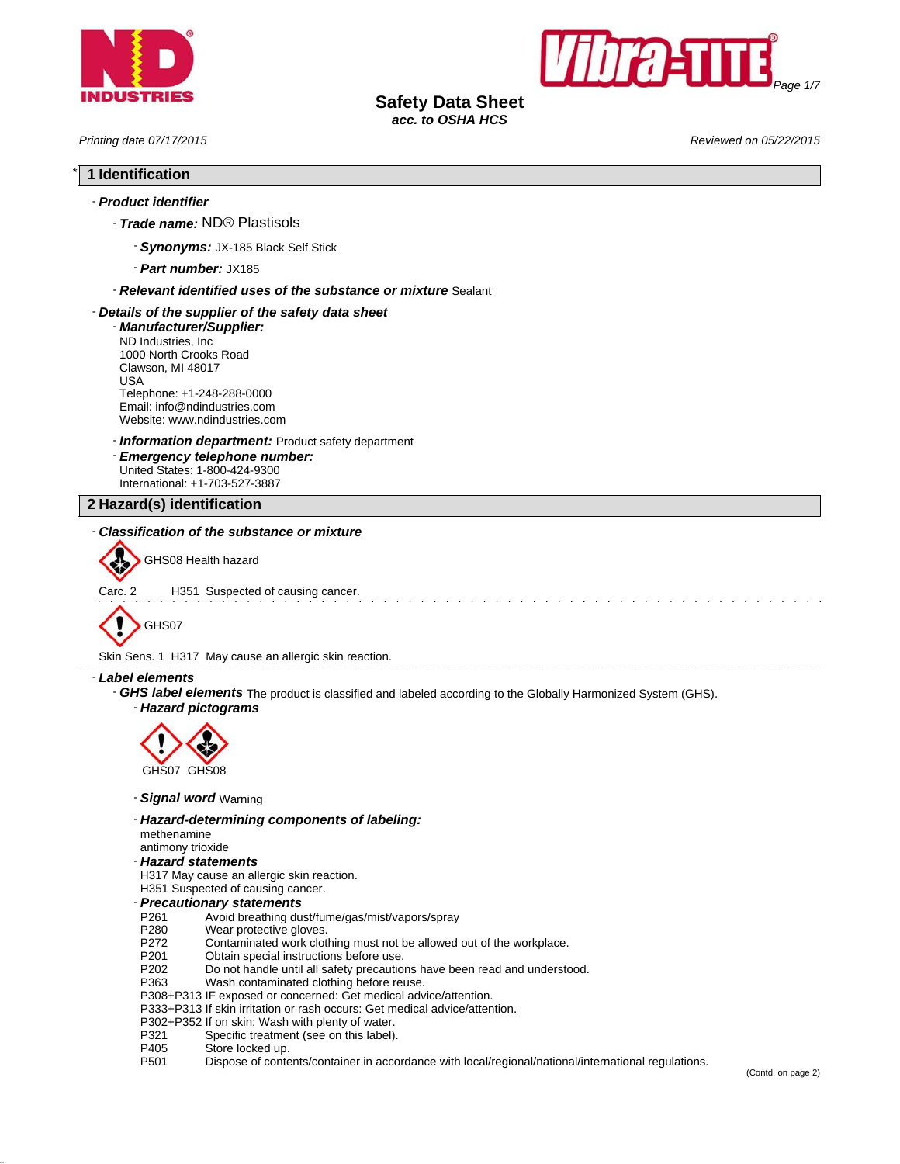



# **Safety Data Sheet**

*acc. to OSHA HCS*

*Printing date 07/17/2015 Reviewed on 05/22/2015*

# \* **1 Identification**

# - *Product identifier*

- *Trade name:* ND® Plastisols
	- *Synonyms:* JX-185 Black Self Stick
	- *Part number:* JX185

#### - *Relevant identified uses of the substance or mixture* Sealant

#### - *Details of the supplier of the safety data sheet*

- *Manufacturer/Supplier:* ND Industries, Inc 1000 North Crooks Road Clawson, MI 48017 USA Telephone: +1-248-288-0000 Email: info@ndindustries.com Website: www.ndindustries.com

## - *Information department:* Product safety department

- *Emergency telephone number:* United States: 1-800-424-9300 International: +1-703-527-3887

## **2 Hazard(s) identification**

## - *Classification of the substance or mixture*



GHS08 Health hazard

Carc. 2 H351 Suspected of causing cancer.



Skin Sens. 1 H317 May cause an allergic skin reaction.

#### - *Label elements*

- *GHS label elements* The product is classified and labeled according to the Globally Harmonized System (GHS).
	- *Hazard pictograms*



- *Signal word* Warning
- *Hazard-determining components of labeling:*
- methenamine
- antimony trioxide
- *Hazard statements*
- H317 May cause an allergic skin reaction.
- H351 Suspected of causing cancer.
- *Precautionary statements*
- Avoid breathing dust/fume/gas/mist/vapors/spray
- P280 Wear protective gloves.<br>P272 Contaminated work clot
- P272 Contaminated work clothing must not be allowed out of the workplace.<br>P201 Obtain special instructions before use.
- P201 Obtain special instructions before use.<br>P202 Do not handle until all safety precaution
- P202 Do not handle until all safety precautions have been read and understood.<br>P363 Wash contaminated clothing before reuse.
- Wash contaminated clothing before reuse.

P308+P313 IF exposed or concerned: Get medical advice/attention.

- P333+P313 If skin irritation or rash occurs: Get medical advice/attention.
- P302+P352 If on skin: Wash with plenty of water.<br>P321 Specific treatment (see on this label).
- Specific treatment (see on this label).
- P405 Store locked up.
- P501 Dispose of contents/container in accordance with local/regional/national/international regulations.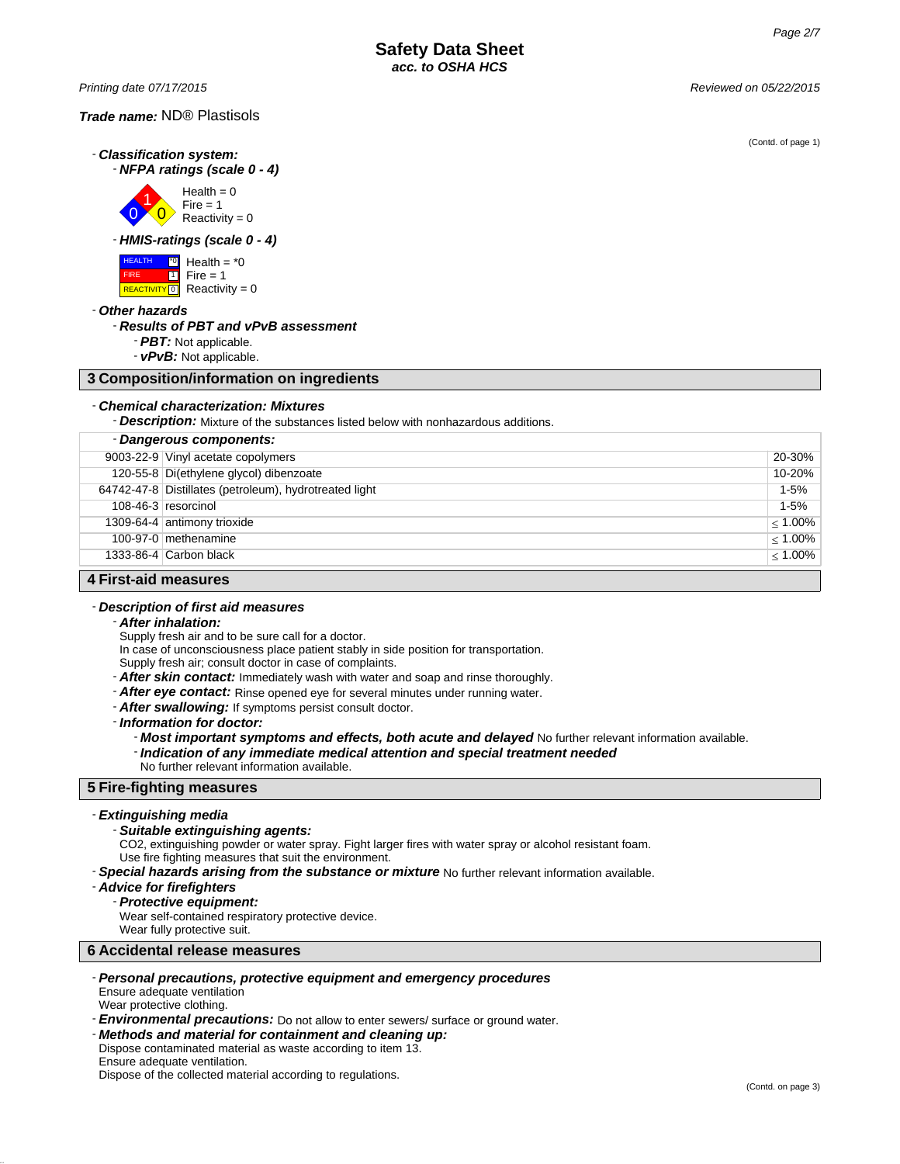*Printing date 07/17/2015 Reviewed on 05/22/2015*

- *Classification system:* - *NFPA ratings (scale 0 - 4)*



- *HMIS-ratings (scale 0 - 4)*



- *Other hazards*

#### - *Results of PBT and vPvB assessment*

- *PBT:* Not applicable.

- *vPvB:* Not applicable.

## **3 Composition/information on ingredients**

#### - *Chemical characterization: Mixtures*

- *Description:* Mixture of the substances listed below with nonhazardous additions.

| - Dangerous components: |                                                        |            |
|-------------------------|--------------------------------------------------------|------------|
|                         | 9003-22-9 Vinyl acetate copolymers                     | 20-30%     |
|                         | 120-55-8 Di(ethylene glycol) dibenzoate                | 10-20%     |
|                         | 64742-47-8 Distillates (petroleum), hydrotreated light | $1 - 5%$   |
|                         | 108-46-3 resorcinol                                    | $1 - 5%$   |
|                         | 1309-64-4 antimony trioxide                            | $< 1.00\%$ |
|                         | 100-97-0 methenamine                                   | $< 1.00\%$ |
|                         | 1333-86-4 Carbon black                                 | $< 1.00\%$ |
| A First aid monourne    |                                                        |            |

#### **4 First-aid measures**

#### - *Description of first aid measures*

- *After inhalation:*

Supply fresh air and to be sure call for a doctor.

In case of unconsciousness place patient stably in side position for transportation.

Supply fresh air; consult doctor in case of complaints.

- *After skin contact:* Immediately wash with water and soap and rinse thoroughly.
- *After eye contact:* Rinse opened eye for several minutes under running water.
- *After swallowing:* If symptoms persist consult doctor.

- *Information for doctor:*

- *Most important symptoms and effects, both acute and delayed* No further relevant information available.
- *Indication of any immediate medical attention and special treatment needed*
- No further relevant information available.

#### **5 Fire-fighting measures**

#### - *Extinguishing media*

- *Suitable extinguishing agents:*

CO2, extinguishing powder or water spray. Fight larger fires with water spray or alcohol resistant foam. Use fire fighting measures that suit the environment.

- *Special hazards arising from the substance or mixture* No further relevant information available.

- *Advice for firefighters*
	- *Protective equipment:*

Wear self-contained respiratory protective device.

Wear fully protective suit.

**6 Accidental release measures**

- *Personal precautions, protective equipment and emergency procedures* Ensure adequate ventilation

Wear protective clothing.

- *Environmental precautions:* Do not allow to enter sewers/ surface or ground water.
- *Methods and material for containment and cleaning up:*
- Dispose contaminated material as waste according to item 13. Ensure adequate ventilation.

Dispose of the collected material according to regulations.

(Contd. of page 1)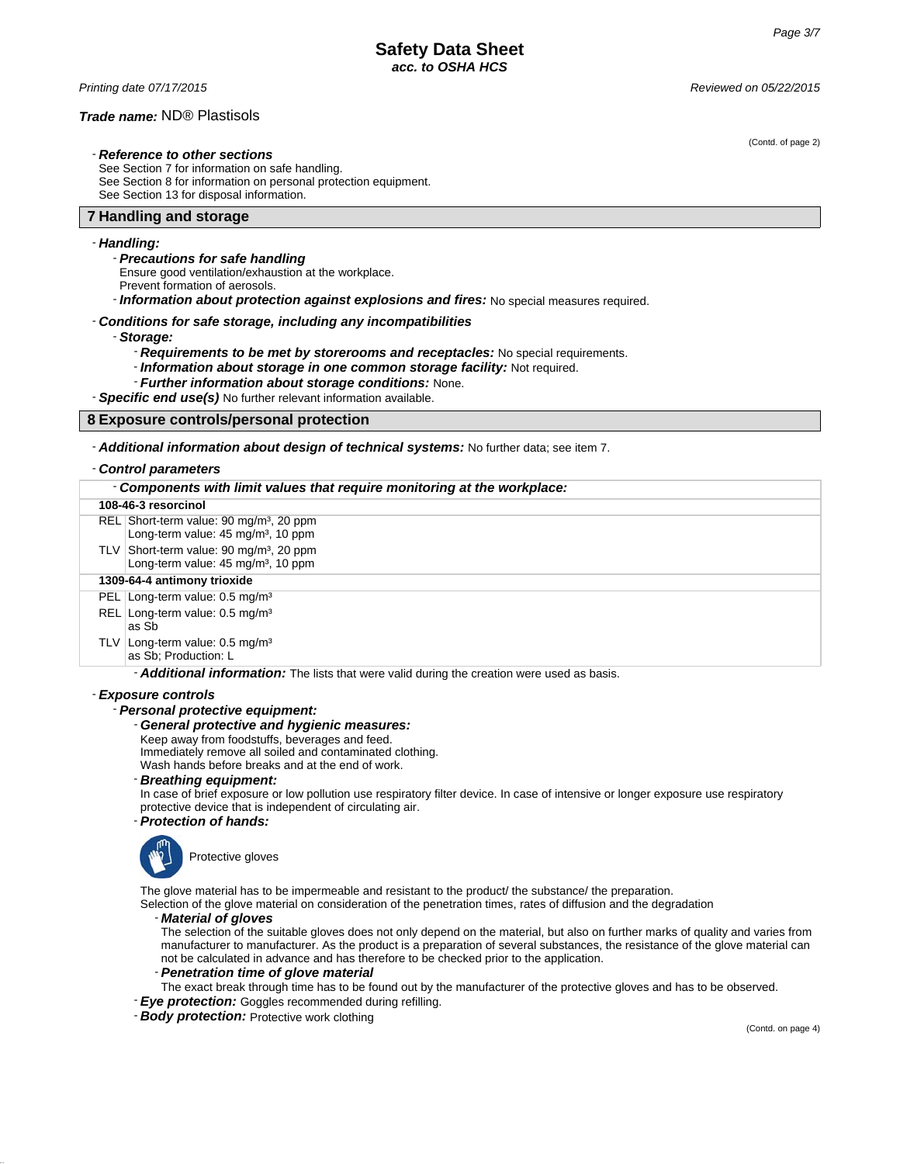*Printing date 07/17/2015 Reviewed on 05/22/2015*

#### *Trade name:* ND® Plastisols

- *Reference to other sections*

See Section 7 for information on safe handling. See Section 8 for information on personal protection equipment. See Section 13 for disposal information.

## **7 Handling and storage**

#### - *Handling:*

- *Precautions for safe handling*
- Ensure good ventilation/exhaustion at the workplace.
- Prevent formation of aerosols.
- *Information about protection against explosions and fires:* No special measures required.

#### - *Conditions for safe storage, including any incompatibilities*

- *Storage:*

- *Requirements to be met by storerooms and receptacles:* No special requirements.
- *Information about storage in one common storage facility:* Not required.
- *Further information about storage conditions:* None.

- *Specific end use(s)* No further relevant information available.

## **8 Exposure controls/personal protection**

- *Additional information about design of technical systems:* No further data; see item 7.

#### - *Control parameters*

| - Components with limit values that require monitoring at the workplace:                                  |  |  |
|-----------------------------------------------------------------------------------------------------------|--|--|
| 108-46-3 resorcinol                                                                                       |  |  |
| REL Short-term value: 90 mg/m <sup>3</sup> , 20 ppm<br>Long-term value: 45 mg/m <sup>3</sup> , 10 ppm     |  |  |
| TLV Short-term value: 90 mg/m <sup>3</sup> , 20 ppm<br>Long-term value: 45 mg/m <sup>3</sup> , 10 ppm     |  |  |
| 1309-64-4 antimony trioxide                                                                               |  |  |
| PEL Long-term value: 0.5 mg/m <sup>3</sup>                                                                |  |  |
| REL Long-term value: 0.5 mg/m <sup>3</sup><br>as Sb                                                       |  |  |
| TLV Long-term value: $0.5 \text{ mg/m}^3$<br>as Sb: Production: L                                         |  |  |
| Additional information: The Partie of the Party of the contract of the common contract of the contract of |  |  |

Additional information: The lists that were valid during the creation were used as basis.

#### - *Exposure controls*

## - *Personal protective equipment:*

- *General protective and hygienic measures:*
- Keep away from foodstuffs, beverages and feed.
- Immediately remove all soiled and contaminated clothing.
- Wash hands before breaks and at the end of work.
- *Breathing equipment:*

In case of brief exposure or low pollution use respiratory filter device. In case of intensive or longer exposure use respiratory protective device that is independent of circulating air.

- *Protection of hands:*



The glove material has to be impermeable and resistant to the product/ the substance/ the preparation.

Selection of the glove material on consideration of the penetration times, rates of diffusion and the degradation

#### - *Material of gloves*

The selection of the suitable gloves does not only depend on the material, but also on further marks of quality and varies from manufacturer to manufacturer. As the product is a preparation of several substances, the resistance of the glove material can not be calculated in advance and has therefore to be checked prior to the application.

#### - *Penetration time of glove material*

- The exact break through time has to be found out by the manufacturer of the protective gloves and has to be observed.
- *Eye protection:* Goggles recommended during refilling.

- *Body protection:* Protective work clothing

(Contd. on page 4)

(Contd. of page 2)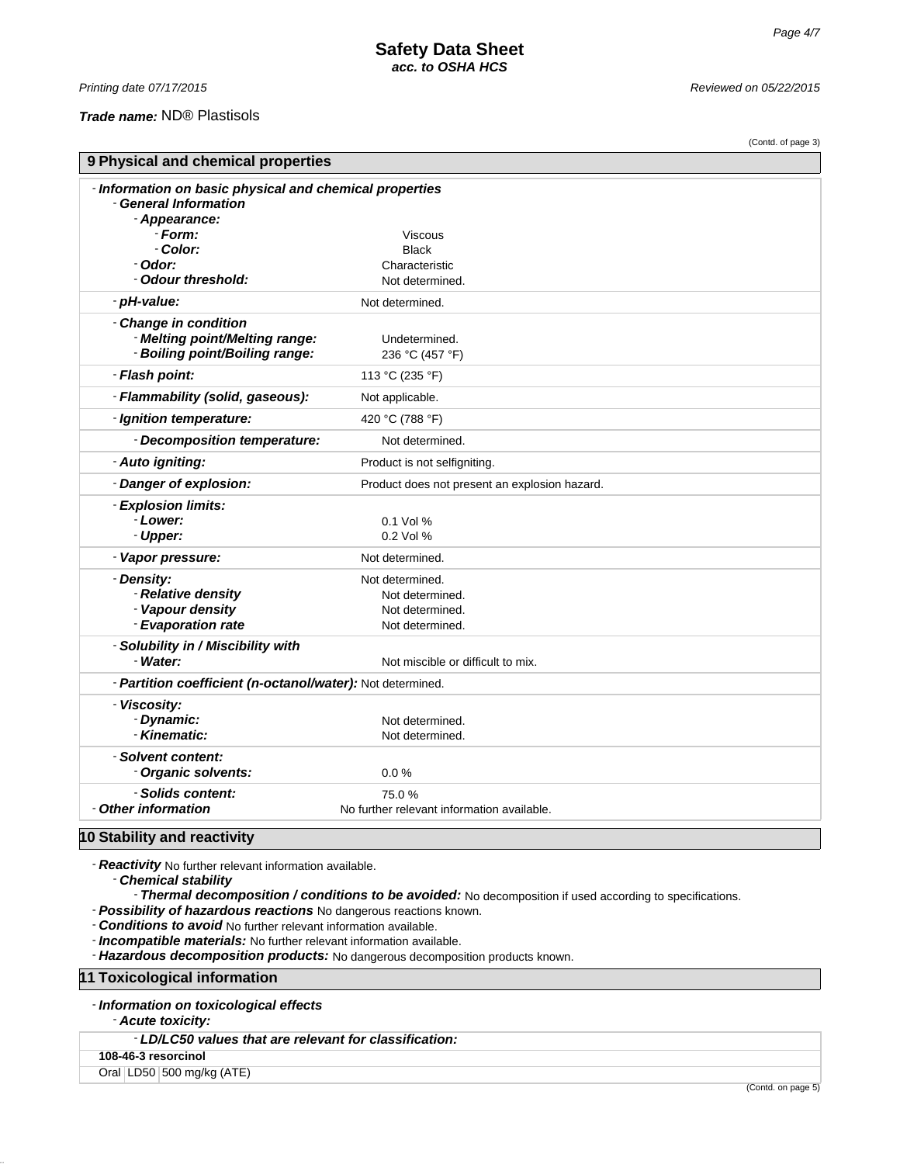## *Trade name:* ND® Plastisols

*Printing date 07/17/2015 Reviewed on 05/22/2015*

|                                                            |                                               | (Contd. of page 3) |
|------------------------------------------------------------|-----------------------------------------------|--------------------|
| 9 Physical and chemical properties                         |                                               |                    |
| - Information on basic physical and chemical properties    |                                               |                    |
| - General Information                                      |                                               |                    |
| - Appearance:                                              |                                               |                    |
| - Form:                                                    | Viscous                                       |                    |
| - Color:                                                   | <b>Black</b>                                  |                    |
| - Odor:                                                    | Characteristic                                |                    |
| - Odour threshold:                                         | Not determined.                               |                    |
| - pH-value:                                                | Not determined.                               |                    |
| - Change in condition                                      |                                               |                    |
| - Melting point/Melting range:                             | Undetermined.                                 |                    |
| - Boiling point/Boiling range:                             | 236 °C (457 °F)                               |                    |
| - Flash point:                                             | 113 °C (235 °F)                               |                    |
| - Flammability (solid, gaseous):                           | Not applicable.                               |                    |
| - Ignition temperature:                                    | 420 °C (788 °F)                               |                    |
| - Decomposition temperature:                               | Not determined.                               |                    |
| - Auto igniting:                                           | Product is not selfigniting.                  |                    |
| - Danger of explosion:                                     | Product does not present an explosion hazard. |                    |
| - Explosion limits:                                        |                                               |                    |
| - Lower:                                                   | 0.1 Vol %                                     |                    |
| - Upper:                                                   | 0.2 Vol %                                     |                    |
| - Vapor pressure:                                          | Not determined.                               |                    |
| - Density:                                                 | Not determined.                               |                    |
| - Relative density                                         | Not determined.                               |                    |
| - Vapour density                                           | Not determined.                               |                    |
| - Evaporation rate                                         | Not determined.                               |                    |
| - Solubility in / Miscibility with                         |                                               |                    |
| - Water:                                                   | Not miscible or difficult to mix.             |                    |
| - Partition coefficient (n-octanol/water): Not determined. |                                               |                    |
| - Viscosity:                                               |                                               |                    |
| - Dynamic:                                                 | Not determined.                               |                    |
| - Kinematic:                                               | Not determined.                               |                    |
| - Solvent content:                                         |                                               |                    |
| - Organic solvents:                                        | 0.0%                                          |                    |
| - Solids content:                                          | 75.0%                                         |                    |
| - Other information                                        | No further relevant information available.    |                    |
| 10 Stability and reactivity                                |                                               |                    |

- *Reactivity* No further relevant information available.

- *Chemical stability*

Thermal decomposition / conditions to be avoided: No decomposition if used according to specifications.

- *Possibility of hazardous reactions* No dangerous reactions known.

- *Conditions to avoid* No further relevant information available.

- *Incompatible materials:* No further relevant information available.

- *Hazardous decomposition products:* No dangerous decomposition products known.

**11 Toxicological information**

- *Information on toxicological effects*

- *Acute toxicity:*

- *LD/LC50 values that are relevant for classification:*

**108-46-3 resorcinol**

Oral LD50 500 mg/kg (ATE)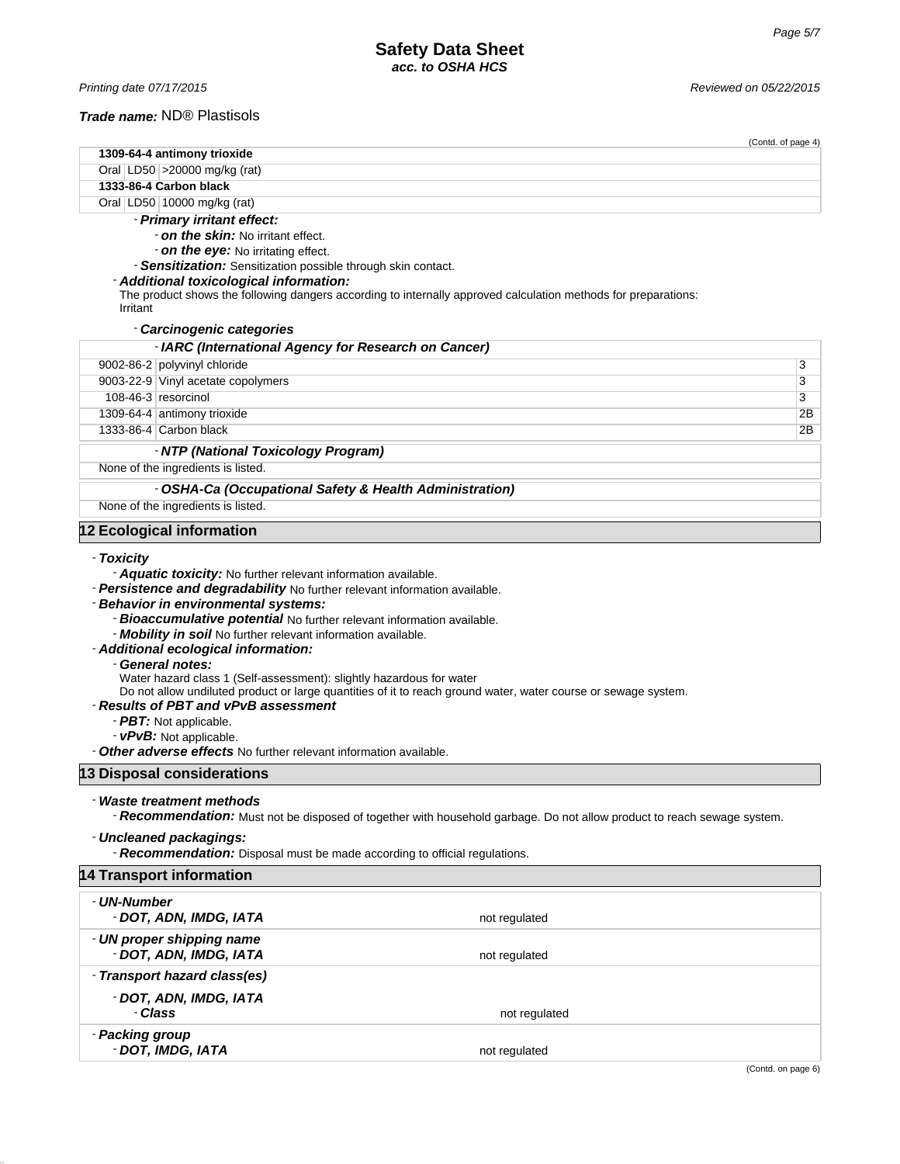# *Trade name:* ND® Plastisols

|                 |                                                                                                                                                                                                                                                                                                                                                                                                                                                                                        | (Contd. of page 4)                                                                                                      |    |
|-----------------|----------------------------------------------------------------------------------------------------------------------------------------------------------------------------------------------------------------------------------------------------------------------------------------------------------------------------------------------------------------------------------------------------------------------------------------------------------------------------------------|-------------------------------------------------------------------------------------------------------------------------|----|
|                 | 1309-64-4 antimony trioxide                                                                                                                                                                                                                                                                                                                                                                                                                                                            |                                                                                                                         |    |
|                 | Oral LD50 > 20000 mg/kg (rat)<br>1333-86-4 Carbon black                                                                                                                                                                                                                                                                                                                                                                                                                                |                                                                                                                         |    |
|                 | Oral LD50 10000 mg/kg (rat)                                                                                                                                                                                                                                                                                                                                                                                                                                                            |                                                                                                                         |    |
|                 | - Primary irritant effect:                                                                                                                                                                                                                                                                                                                                                                                                                                                             |                                                                                                                         |    |
|                 | <b>- on the skin:</b> No irritant effect.                                                                                                                                                                                                                                                                                                                                                                                                                                              |                                                                                                                         |    |
|                 | - on the eye: No irritating effect.                                                                                                                                                                                                                                                                                                                                                                                                                                                    |                                                                                                                         |    |
|                 | - Sensitization: Sensitization possible through skin contact.                                                                                                                                                                                                                                                                                                                                                                                                                          |                                                                                                                         |    |
|                 | - Additional toxicological information:                                                                                                                                                                                                                                                                                                                                                                                                                                                |                                                                                                                         |    |
| Irritant        |                                                                                                                                                                                                                                                                                                                                                                                                                                                                                        | The product shows the following dangers according to internally approved calculation methods for preparations:          |    |
|                 | - Carcinogenic categories                                                                                                                                                                                                                                                                                                                                                                                                                                                              |                                                                                                                         |    |
|                 | - IARC (International Agency for Research on Cancer)                                                                                                                                                                                                                                                                                                                                                                                                                                   |                                                                                                                         |    |
|                 | 9002-86-2 polyvinyl chloride                                                                                                                                                                                                                                                                                                                                                                                                                                                           | 3                                                                                                                       |    |
|                 | 9003-22-9 Vinyl acetate copolymers                                                                                                                                                                                                                                                                                                                                                                                                                                                     | 3                                                                                                                       |    |
|                 | 108-46-3 resorcinol                                                                                                                                                                                                                                                                                                                                                                                                                                                                    | 3                                                                                                                       |    |
|                 | 1309-64-4 antimony trioxide                                                                                                                                                                                                                                                                                                                                                                                                                                                            |                                                                                                                         | 2Β |
|                 | 1333-86-4 Carbon black                                                                                                                                                                                                                                                                                                                                                                                                                                                                 |                                                                                                                         | 2B |
|                 | - NTP (National Toxicology Program)                                                                                                                                                                                                                                                                                                                                                                                                                                                    |                                                                                                                         |    |
|                 | None of the ingredients is listed.                                                                                                                                                                                                                                                                                                                                                                                                                                                     |                                                                                                                         |    |
|                 | - OSHA-Ca (Occupational Safety & Health Administration)                                                                                                                                                                                                                                                                                                                                                                                                                                |                                                                                                                         |    |
|                 | None of the ingredients is listed.                                                                                                                                                                                                                                                                                                                                                                                                                                                     |                                                                                                                         |    |
|                 |                                                                                                                                                                                                                                                                                                                                                                                                                                                                                        |                                                                                                                         |    |
|                 | 12 Ecological information                                                                                                                                                                                                                                                                                                                                                                                                                                                              |                                                                                                                         |    |
|                 | - Behavior in environmental systems:<br>- Bioaccumulative potential No further relevant information available.<br>- Mobility in soil No further relevant information available.<br>- Additional ecological information:<br>- General notes:<br>Water hazard class 1 (Self-assessment): slightly hazardous for water<br>- Results of PBT and vPvB assessment<br>- PBT: Not applicable.<br>- vPvB: Not applicable.<br>- Other adverse effects No further relevant information available. | Do not allow undiluted product or large quantities of it to reach ground water, water course or sewage system.          |    |
|                 | 13 Disposal considerations                                                                                                                                                                                                                                                                                                                                                                                                                                                             |                                                                                                                         |    |
|                 | - Waste treatment methods                                                                                                                                                                                                                                                                                                                                                                                                                                                              | - Recommendation: Must not be disposed of together with household garbage. Do not allow product to reach sewage system. |    |
|                 | - Uncleaned packagings:<br>- Recommendation: Disposal must be made according to official regulations.                                                                                                                                                                                                                                                                                                                                                                                  |                                                                                                                         |    |
|                 | <b>14 Transport information</b>                                                                                                                                                                                                                                                                                                                                                                                                                                                        |                                                                                                                         |    |
| - UN-Number     | - DOT, ADN, IMDG, IATA                                                                                                                                                                                                                                                                                                                                                                                                                                                                 | not regulated                                                                                                           |    |
|                 | - UN proper shipping name<br>- DOT, ADN, IMDG, IATA                                                                                                                                                                                                                                                                                                                                                                                                                                    | not regulated                                                                                                           |    |
|                 | - Transport hazard class(es)                                                                                                                                                                                                                                                                                                                                                                                                                                                           |                                                                                                                         |    |
|                 |                                                                                                                                                                                                                                                                                                                                                                                                                                                                                        |                                                                                                                         |    |
|                 | - DOT, ADN, IMDG, IATA<br>- Class                                                                                                                                                                                                                                                                                                                                                                                                                                                      | not regulated                                                                                                           |    |
| - Packing group | - DOT, IMDG, IATA                                                                                                                                                                                                                                                                                                                                                                                                                                                                      | not regulated                                                                                                           |    |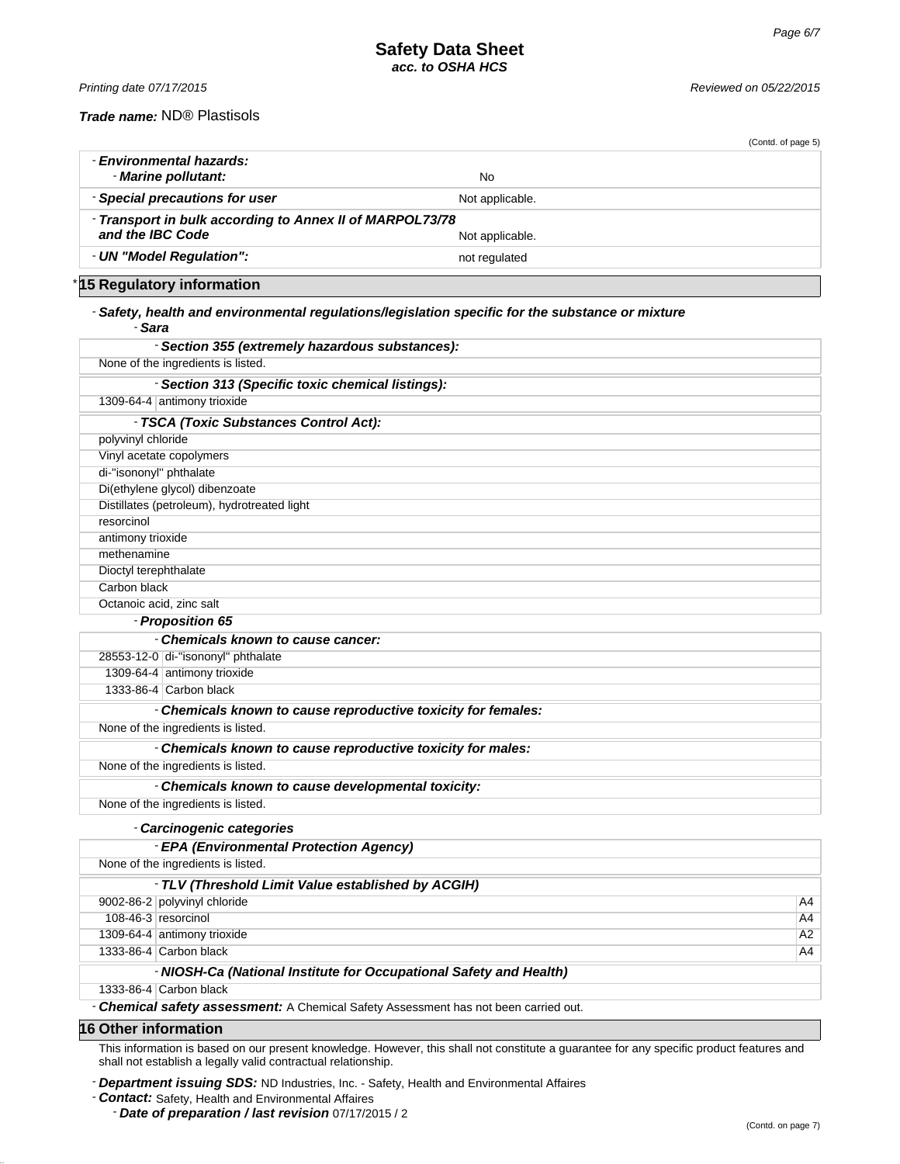*Printing date 07/17/2015 Reviewed on 05/22/2015*

*Trade name:* ND® Plastisols

|                                                                              | (Contd. of page 5) |
|------------------------------------------------------------------------------|--------------------|
| - Environmental hazards:<br>- Marine pollutant:                              | No                 |
| - Special precautions for user                                               | Not applicable.    |
| - Transport in bulk according to Annex II of MARPOL73/78<br>and the IBC Code | Not applicable.    |
| - UN "Model Regulation":                                                     | not regulated      |

\* **15 Regulatory information**

## - *Safety, health and environmental regulations/legislation specific for the substance or mixture* - *Sara*

| - Section 355 (extremely hazardous substances):   |
|---------------------------------------------------|
| None of the ingredients is listed.                |
| - Section 313 (Specific toxic chemical listings): |
| 1309-64-4 antimony trioxide                       |
| - TSCA (Toxic Substances Control Act):            |
| polyvinyl chloride                                |
| Vinyl acetate copolymers                          |
| di-"isononyl" phthalate                           |
| Di(ethylene glycol) dibenzoate                    |
| Distillates (petroleum), hydrotreated light       |
| resorcinol                                        |
| antimony trioxide                                 |
| methenamine                                       |
| Dioctyl terephthalate                             |
| Carbon black                                      |
| Octanoic acid, zinc salt                          |
| - Proposition 65                                  |
|                                                   |

| - Chemicals known to cause cancer:                            |  |  |
|---------------------------------------------------------------|--|--|
| 28553-12-0 di-"isononyl" phthalate                            |  |  |
| 1309-64-4 antimony trioxide                                   |  |  |
| 1333-86-4 Carbon black                                        |  |  |
| - Chemicals known to cause reproductive toxicity for females: |  |  |
| None of the ingredients is listed.                            |  |  |
| - Chemicals known to cause reproductive toxicity for males:   |  |  |
| None of the ingredients is listed.                            |  |  |
| - Chemicals known to cause developmental toxicity:            |  |  |
|                                                               |  |  |

None of the ingredients is listed.

## - *Carcinogenic categories*

|                                                                    | - EPA (Environmental Protection Agency) |    |  |
|--------------------------------------------------------------------|-----------------------------------------|----|--|
| None of the ingredients is listed.                                 |                                         |    |  |
| - TLV (Threshold Limit Value established by ACGIH)                 |                                         |    |  |
|                                                                    | 9002-86-2 polyvinyl chloride            | A4 |  |
|                                                                    | 108-46-3 resorcinol                     | A4 |  |
|                                                                    | 1309-64-4 antimony trioxide             | A2 |  |
|                                                                    | 1333-86-4 Carbon black                  | A4 |  |
| - NIOSH-Ca (National Institute for Occupational Safety and Health) |                                         |    |  |

1333-86-4 Carbon black

- *Chemical safety assessment:* A Chemical Safety Assessment has not been carried out.

## **16 Other information**

This information is based on our present knowledge. However, this shall not constitute a guarantee for any specific product features and shall not establish a legally valid contractual relationship.

- *Department issuing SDS:* ND Industries, Inc. - Safety, Health and Environmental Affaires

- *Contact:* Safety, Health and Environmental Affaires

- *Date of preparation / last revision* 07/17/2015 / 2